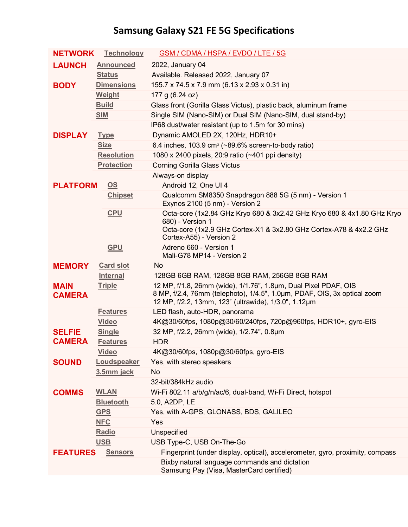## **Samsung Galaxy S21 FE 5G Specifications**

| <b>NETWORK</b>               | <b>Technology</b>         | GSM / CDMA / HSPA / EVDO / LTE / 5G                                                                                                                                                                 |
|------------------------------|---------------------------|-----------------------------------------------------------------------------------------------------------------------------------------------------------------------------------------------------|
| <b>LAUNCH</b>                | <b>Announced</b>          | 2022, January 04                                                                                                                                                                                    |
|                              | <b>Status</b>             | Available. Released 2022, January 07                                                                                                                                                                |
| <b>BODY</b>                  | <b>Dimensions</b>         | 155.7 x 74.5 x 7.9 mm (6.13 x 2.93 x 0.31 in)                                                                                                                                                       |
|                              | Weight                    | 177 g (6.24 oz)                                                                                                                                                                                     |
|                              | <b>Build</b>              | Glass front (Gorilla Glass Victus), plastic back, aluminum frame                                                                                                                                    |
|                              | <b>SIM</b>                | Single SIM (Nano-SIM) or Dual SIM (Nano-SIM, dual stand-by)                                                                                                                                         |
|                              |                           | IP68 dust/water resistant (up to 1.5m for 30 mins)                                                                                                                                                  |
| <b>DISPLAY</b>               | <b>Type</b>               | Dynamic AMOLED 2X, 120Hz, HDR10+                                                                                                                                                                    |
|                              | <b>Size</b>               | 6.4 inches, 103.9 cm <sup>2</sup> (~89.6% screen-to-body ratio)                                                                                                                                     |
|                              | <b>Resolution</b>         | 1080 x 2400 pixels, 20:9 ratio (~401 ppi density)                                                                                                                                                   |
|                              | <b>Protection</b>         | <b>Corning Gorilla Glass Victus</b>                                                                                                                                                                 |
|                              |                           | Always-on display                                                                                                                                                                                   |
| <b>PLATFORM</b>              | $\underline{\mathsf{OS}}$ | Android 12, One UI 4                                                                                                                                                                                |
|                              | <b>Chipset</b>            | Qualcomm SM8350 Snapdragon 888 5G (5 nm) - Version 1<br>Exynos 2100 (5 nm) - Version 2                                                                                                              |
|                              | <b>CPU</b>                | Octa-core (1x2.84 GHz Kryo 680 & 3x2.42 GHz Kryo 680 & 4x1.80 GHz Kryo<br>680) - Version 1                                                                                                          |
|                              |                           | Octa-core (1x2.9 GHz Cortex-X1 & 3x2.80 GHz Cortex-A78 & 4x2.2 GHz<br>Cortex-A55) - Version 2                                                                                                       |
|                              | <b>GPU</b>                | Adreno 660 - Version 1<br>Mali-G78 MP14 - Version 2                                                                                                                                                 |
| <b>MEMORY</b>                | <b>Card slot</b>          | No                                                                                                                                                                                                  |
|                              | <b>Internal</b>           | 128GB 6GB RAM, 128GB 8GB RAM, 256GB 8GB RAM                                                                                                                                                         |
| <b>MAIN</b><br><b>CAMERA</b> | <b>Triple</b>             | 12 MP, f/1.8, 26mm (wide), 1/1.76", 1.8µm, Dual Pixel PDAF, OIS<br>8 MP, f/2.4, 76mm (telephoto), 1/4.5", 1.0µm, PDAF, OIS, 3x optical zoom<br>12 MP, f/2.2, 13mm, 123° (ultrawide), 1/3.0", 1.12µm |
|                              | <b>Features</b>           | LED flash, auto-HDR, panorama                                                                                                                                                                       |
|                              | <b>Video</b>              | 4K@30/60fps, 1080p@30/60/240fps, 720p@960fps, HDR10+, gyro-EIS                                                                                                                                      |
| <b>SELFIE</b>                | <b>Single</b>             | 32 MP, f/2.2, 26mm (wide), 1/2.74", 0.8µm                                                                                                                                                           |
| <b>CAMERA</b>                | <b>Features</b>           | <b>HDR</b>                                                                                                                                                                                          |
|                              | <b>Video</b>              | 4K@30/60fps, 1080p@30/60fps, gyro-EIS                                                                                                                                                               |
| <b>SOUND</b>                 | Loudspeaker               | Yes, with stereo speakers                                                                                                                                                                           |
|                              | 3.5mm jack                | <b>No</b>                                                                                                                                                                                           |
|                              |                           | 32-bit/384kHz audio                                                                                                                                                                                 |
| <b>COMMS</b>                 | <b>WLAN</b>               | Wi-Fi 802.11 a/b/g/n/ac/6, dual-band, Wi-Fi Direct, hotspot                                                                                                                                         |
|                              | <b>Bluetooth</b>          | 5.0, A2DP, LE                                                                                                                                                                                       |
|                              | <b>GPS</b>                | Yes, with A-GPS, GLONASS, BDS, GALILEO                                                                                                                                                              |
|                              | <b>NFC</b>                | Yes                                                                                                                                                                                                 |
|                              | Radio                     | Unspecified                                                                                                                                                                                         |
|                              | <b>USB</b>                | USB Type-C, USB On-The-Go                                                                                                                                                                           |
| <b>FEATURES</b>              | <b>Sensors</b>            | Fingerprint (under display, optical), accelerometer, gyro, proximity, compass                                                                                                                       |
|                              |                           | Bixby natural language commands and dictation<br>Samsung Pay (Visa, MasterCard certified)                                                                                                           |